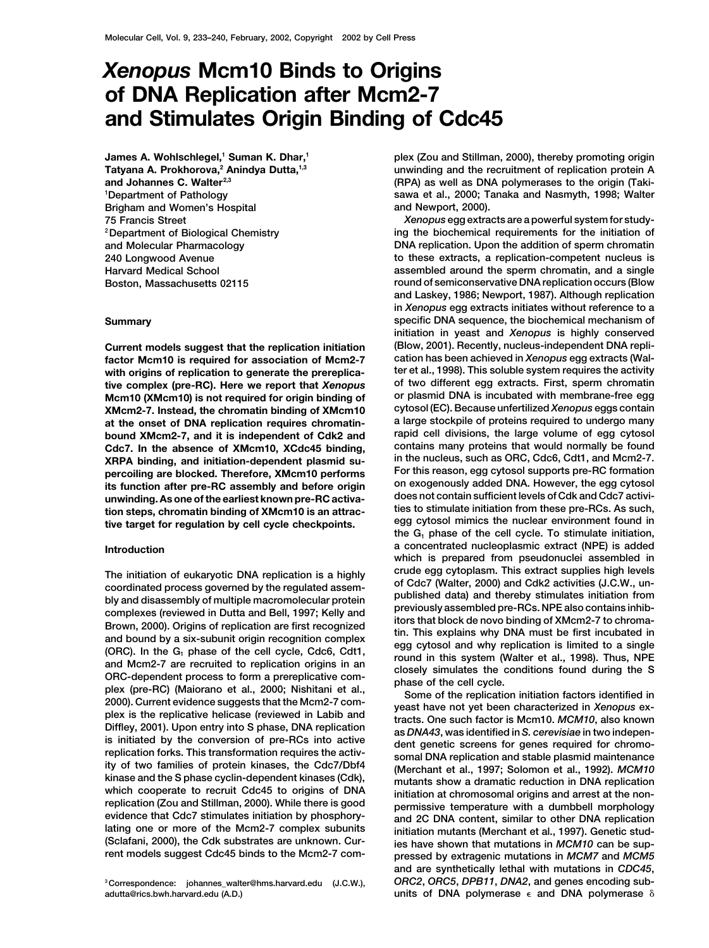## *Xenopus* **Mcm10 Binds to Origins of DNA Replication after Mcm2-7 and Stimulates Origin Binding of Cdc45**

**James A. Wohlschlegel,1 Suman K. Dhar,1 Tatyana A. Prokhorova,2 Anindya Dutta,1,3 and Johannes C. Walter2,3 1 Department of Pathology Brigham and Women's Hospital**

factor Mcm10 is required for association of Mcm2-7

The initiation of eukaryotic DNA replication is a highly<br>crude egg cytoplasm. This extract supplies high levels<br>coordinated process governed by the regulated assem-<br>of Cdc7 (Walter, 2000) and Cdk2 activities (J.C.W., un-<br> Ity of two families of protein kinases, the Cdc7/DD14<br>
kinase and the S phase cyclin-dependent kinases (Cdk),<br>
which cooperate to recruit Cdc45 to origins of DNA<br>
replication at chromosomal origins and arrest at the non-<br> **lating one or more of the Mcm2-7 complex subunits initiation mutants (Merchant et al., 1997). Genetic stud-**

**adutta@rics.bwh.harvard.edu (A.D.) units of DNA polymerase** ε and DNA polymerase δ

**plex (Zou and Stillman, 2000), thereby promoting origin unwinding and the recruitment of replication protein A (RPA) as well as DNA polymerases to the origin (Takisawa et al., 2000; Tanaka and Nasmyth, 1998; Walter and Newport, 2000).**

**75 Francis Street** *Xenopus* **egg extracts are a powerful system for studying the biochemical requirements for the initiation of 2Department of Biological Chemistry and Molecular Pharmacology DNA replication. Upon the addition of sperm chromatin 240 Longwood Avenue to these extracts, a replication-competent nucleus is Harvard Medical School assembled around the sperm chromatin, and a single Boston, Massachusetts 02115 round of semiconservative DNA replication occurs (Blow and Laskey, 1986; Newport, 1987). Although replication in** *Xenopus* **egg extracts initiates without reference to a Summary specific DNA sequence, the biochemical mechanism of initiation in yeast and** *Xenopus* **is highly conserved Current models suggest that the replication initiation (Blow, 2001). Recently, nucleus-independent DNA repliwith origins of replication to generate the prereplica- ter et al., 1998). This soluble system requires the activity tive complex (pre-RC). Here we report that** *Xenopus* **of two different egg extracts. First, sperm chromatin Mcm10 (XMcm10) is not required for origin binding of or plasmid DNA is incubated with membrane-free egg XMcm2-7. Instead, the chromatin binding of XMcm10 cytosol (EC). Because unfertilized** *Xenopus* **eggs contain at the onset of DNA replication requires chromatin- a large stockpile of proteins required to undergo many bound XMcm2-7, and it is independent of Cdk2 and rapid cell divisions, the large volume of egg cytosol Cdc7. In the absence of XMcm10, XCdc45 binding, contains many proteins that would normally be found XRPA binding, and initiation-dependent plasmid su- in the nucleus, such as ORC, Cdc6, Cdt1, and Mcm2-7. percoiling are blocked. Therefore, XMcm10 performs For this reason, egg cytosol supports pre-RC formation** The function after pre-RC assembly and before origin<br>its function after pre-RC assembly and before origin<br>its function steps, chromatin binding of XMcm10 is an attrac-<br>ties to stimulate initiation from these pre-RCs. As s **a concentrated nucleoplasmic extract (NPE) is added Introduction which is prepared from pseudonuclei assembled in**

**(Sclafani, 2000), the Cdk substrates are unknown. Cur- ies have shown that mutations in** *MCM10* **can be sup**pressed by extragenic mutations in *MCM7* and *MCM5* **and are synthetically lethal with mutations in** *CDC45***, <sup>3</sup> Correspondence: johannes\_walter@hms.harvard.edu (J.C.W.),** *ORC2***,** *ORC5***,** *DPB11***,** *DNA2***, and genes encoding sub-**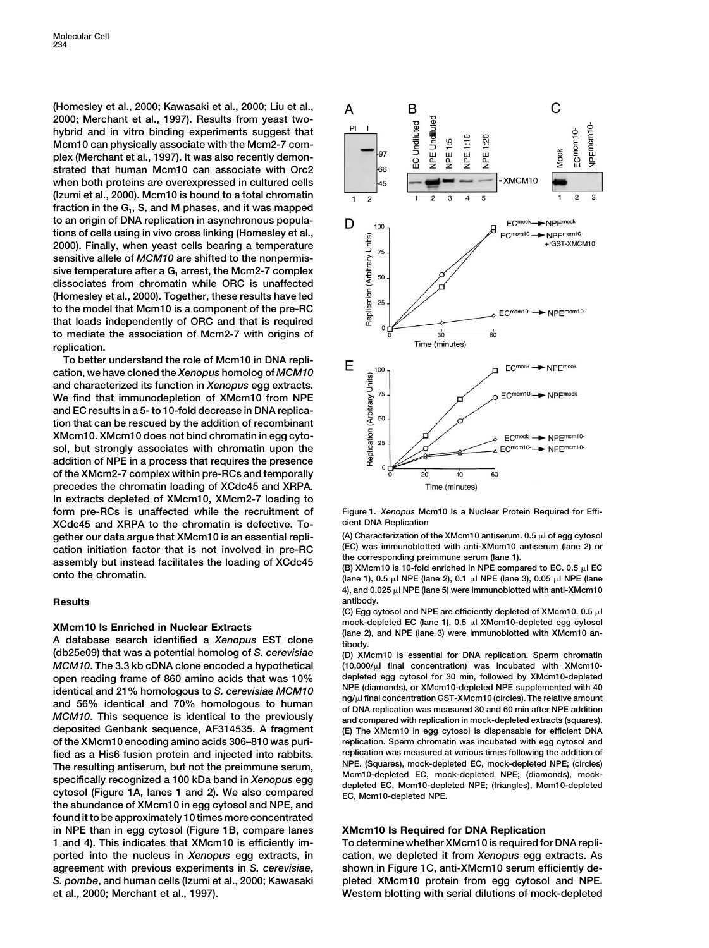**(Homesley et al., 2000; Kawasaki et al., 2000; Liu et al., 2000; Merchant et al., 1997). Results from yeast twohybrid and in vitro binding experiments suggest that Mcm10 can physically associate with the Mcm2-7 complex (Merchant et al., 1997). It was also recently demonstrated that human Mcm10 can associate with Orc2 when both proteins are overexpressed in cultured cells (Izumi et al., 2000). Mcm10 is bound to a total chromatin** fraction in the G<sub>1</sub>, S, and M phases, and it was mapped **to an origin of DNA replication in asynchronous populations of cells using in vivo cross linking (Homesley et al., 2000). Finally, when yeast cells bearing a temperature sensitive allele of** *MCM10* **are shifted to the nonpermis**sive temperature after a G<sub>1</sub> arrest, the Mcm2-7 complex **dissociates from chromatin while ORC is unaffected (Homesley et al., 2000). Together, these results have led to the model that Mcm10 is a component of the pre-RC that loads independently of ORC and that is required to mediate the association of Mcm2-7 with origins of replication.**

**To better understand the role of Mcm10 in DNA replication, we have cloned the** *Xenopus* **homolog of** *MCM10* **and characterized its function in** *Xenopus* **egg extracts. We find that immunodepletion of XMcm10 from NPE and EC results in a 5- to 10-fold decrease in DNA replication that can be rescued by the addition of recombinant XMcm10. XMcm10 does not bind chromatin in egg cytosol, but strongly associates with chromatin upon the addition of NPE in a process that requires the presence of the XMcm2-7 complex within pre-RCs and temporally precedes the chromatin loading of XCdc45 and XRPA. In extracts depleted of XMcm10, XMcm2-7 loading to form pre-RCs is unaffected while the recruitment of Figure 1.** *Xenopus* **Mcm10 Is a Nuclear Protein Required for Effi-XCdc45 and XRPA to the chromatin is defective. To-** cient DNA Replication<br>gether our data arque that XMcm10 is an essential repli- (A) Characterization of the XMcm10 antiserum. 0.5 µl of egg cytosol **gether our data argue that XMcm10 is an essential repli-** (A) Characterization of the XMcm10 antiserum. 0.5 µl of egg cytosol<br> **Cation** initiation factor that is not involved in pre-RC. (EC) was immunoblotted with anti-XM cation initiation factor that is not involved in pre-RC (EC) was immunobled with anti-XMCm10 antiserum (lane 2) or<br>assembly but instead facilitates the loading of XCdc45 (B) XMcm10 is 10-fold enriched in NPE compared to E

*MCM10***. The 3.3 kb cDNA clone encoded a hypothetical (10,000/l final concentration) was incubated with XMcm10 open reading frame of 860 amino acids that was 10% depleted egg cytosol for 30 min, followed by XMcm10-depleted NPE (diamonds), or XMcm10-depleted NPE supplemented with 40 identical and 21% homologous to** *S. cerevisiae MCM10* and 56% identical and 70% homologous to human<br>
MCM10. This sequence is identical to the previously<br>
deposited Genbank sequence, AF314535. A fragment<br>
(E) The XMcm10 in eqg cytosol is dispensable for efficient DNA **of the XMcm10 encoding amino acids 306–810 was puri- replication. Sperm chromatin was incubated with egg cytosol and replication was measured at various times following the addition of the catalogy of the addition of fied and injected into rabbits. The resulting antiser in but not the preimmune serum NPE. (Squares), mock-depleted EC, mo** The resulting antiserum, but not the preimmune serum,<br>specifically recognized a 100 kDa band in Xenopus egg<br>cytosol (Figure 1A, lanes 1 and 2). We also compared<br>EC, Mcm10-depleted NPE; (triangles), Mcm10-depleted<br>EC, Mcm10 **the abundance of XMcm10 in egg cytosol and NPE, and found it to be approximately 10 times more concentrated in NPE than in egg cytosol (Figure 1B, compare lanes XMcm10 Is Required for DNA Replication 1 and 4). This indicates that XMcm10 is efficiently im- To determine whether XMcm10 is required for DNA repliported into the nucleus in** *Xenopus* **egg extracts, in cation, we depleted it from** *Xenopus* **egg extracts. As agreement with previous experiments in** *S. cerevisiae***, shown in Figure 1C, anti-XMcm10 serum efficiently de-***S. pombe***, and human cells (Izumi et al., 2000; Kawasaki pleted XMcm10 protein from egg cytosol and NPE. et al., 2000; Merchant et al., 1997). Western blotting with serial dilutions of mock-depleted**



**onto the chromatin. (lane 1), 0.5 l NPE (lane 2), 0.1 l NPE (lane 3), 0.05 l NPE (lane 4), and 0.025 l NPE (lane 5) were immunoblotted with anti-XMcm10 Results antibody.**

**(C) Egg cytosol and NPE are efficiently depleted of XMcm10. 0.5 l XMcm10 Is Enriched in Nuclear Extracts** mock-depleted EC (lane 1), 0.5  $\mu$ J XMcm10-depleted egg cytosol<br>A database search identified a *Xenopus* EST clone<br>(db25e09) that was a potential homolog of S. cerevisiae<br>(D) XMcm

**(db25e09) that was a potential homolog of** *S. cerevisiae* **(D) XMcm10 is essential for DNA replication. Sperm chromatin deposited Genbank sequence, AF314535. A fragment (E) The XMcm10 in egg cytosol is dispensable for efficient DNA**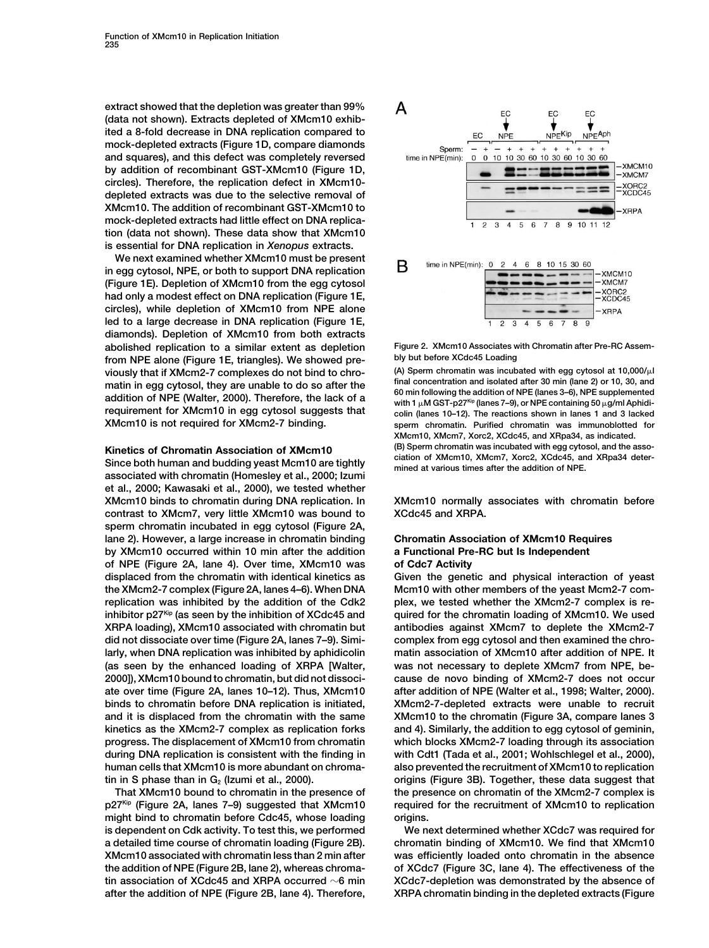**extract showed that the depletion was greater than 99% (data not shown). Extracts depleted of XMcm10 exhibited a 8-fold decrease in DNA replication compared to mock-depleted extracts (Figure 1D, compare diamonds and squares), and this defect was completely reversed by addition of recombinant GST-XMcm10 (Figure 1D, circles). Therefore, the replication defect in XMcm10 depleted extracts was due to the selective removal of XMcm10. The addition of recombinant GST-XMcm10 to mock-depleted extracts had little effect on DNA replication (data not shown). These data show that XMcm10 is essential for DNA replication in** *Xenopus* **extracts.**

**We next examined whether XMcm10 must be present in egg cytosol, NPE, or both to support DNA replication (Figure 1E). Depletion of XMcm10 from the egg cytosol had only a modest effect on DNA replication (Figure 1E, circles), while depletion of XMcm10 from NPE alone led to a large decrease in DNA replication (Figure 1E, diamonds). Depletion of XMcm10 from both extracts abolished replication to a similar extent as depletion Figure 2. XMcm10 Associates with Chromatin after Pre-RC Assem**from NPE alone (Figure 1E, triangles). We showed pre-<br> **bly but before XCdc45 Loading**<br>
(A) Sperm chromatin was incubated with egg cytosol at 10,000/μl **viously that if XMcm2-7 complexes do not bind to chro- (A) Sperm chromatin was incubated with egg cytosol at 10,000/l** matin in egg cytosol, they are unable to do so after the **final concentration and isolated after 30 min (lane 2) or 10, 30, and**<br>60 min following the addition of NPE (lanes 3-6), NPE supplemented addition of NPE (Walter, 2000). Therefore, the lack of a<br>requirement for XMcm10 in egg cytosol suggests that<br> $\frac{1}{2}$  with 1 $\mu$ MGsT-p27<sup>Kp</sup> (lanes 7–9), or NPE containing 50  $\mu$ g/ml Aphidi-<br>2001). Therefore, the lack o

**ciation of XMcm10, XMcm7, Xorc2, XCdc45, and XRpa34 deter- Since both human and budding yeast Mcm10 are tightly mined at various times after the addition of NPE. associated with chromatin (Homesley et al., 2000; Izumi et al., 2000; Kawasaki et al., 2000), we tested whether contrast to XMcm7, very little XMcm10 was bound to XCdc45 and XRPA. sperm chromatin incubated in egg cytosol (Figure 2A, lane 2). However, a large increase in chromatin binding Chromatin Association of XMcm10 Requires by XMcm10 occurred within 10 min after the addition a Functional Pre-RC but Is Independent of NPE (Figure 2A, lane 4). Over time, XMcm10 was of Cdc7 Activity the XMcm2-7 complex (Figure 2A, lanes 4–6). When DNA Mcm10 with other members of the yeast Mcm2-7 com-XRPA loading), XMcm10 associated with chromatin but antibodies against XMcm7 to deplete the XMcm2-7 did not dissociate over time (Figure 2A, lanes 7–9). Simi- complex from egg cytosol and then examined the chro-(as seen by the enhanced loading of XRPA [Walter, was not necessary to deplete XMcm7 from NPE, beduring DNA replication is consistent with the finding in with Cdt1 (Tada et al., 2001; Wohlschlegel et al., 2000), human cells that XMcm10 is more abundant on chroma- also prevented the recruitment of XMcm10 to replication**

might bind to chromatin before Cdc45, whose loading origins.



 $s$ perm chromatin. Purified chromatin was immunoblotted for **XMcm10, XMcm7, Xorc2, XCdc45, and XRpa34, as indicated. Kinetics of Chromatin Association of XMcm10** (B) Sperm chromatin was incubated with egg cytosol, and the asso-<br>City and the station of XMcm10, XMcm10, XMcm7, Xorc2, XCdc45, and XRpa34 deter-

**XMcm10 binds to chromatin during DNA replication. In XMcm10 normally associates with chromatin before**

**displaced from the chromatin with identical kinetics as Given the genetic and physical interaction of yeast replication was inhibited by the addition of the Cdk2 plex, we tested whether the XMcm2-7 complex is reinhibitor p27Kip (as seen by the inhibition of XCdc45 and quired for the chromatin loading of XMcm10. We used larly, when DNA replication was inhibited by aphidicolin matin association of XMcm10 after addition of NPE. It 2000]), XMcm10 bound to chromatin, but did not dissoci- cause de novo binding of XMcm2-7 does not occur ate over time (Figure 2A, lanes 10–12). Thus, XMcm10 after addition of NPE (Walter et al., 1998; Walter, 2000). binds to chromatin before DNA replication is initiated, XMcm2-7-depleted extracts were unable to recruit and it is displaced from the chromatin with the same XMcm10 to the chromatin (Figure 3A, compare lanes 3 kinetics as the XMcm2-7 complex as replication forks and 4). Similarly, the addition to egg cytosol of geminin, progress. The displacement of XMcm10 from chromatin which blocks XMcm2-7 loading through its association** tin in S phase than in G<sub>2</sub> (Izumi et al., 2000). *origins* (Figure 3B). Together, these data suggest that **That XMcm10 bound to chromatin in the presence of the presence on chromatin of the XMcm2-7 complex is p27<sup>Kip</sup> (Figure 2A, lanes 7–9) suggested that XMcm10** required for the recruitment of XMcm10 to replication

**is dependent on Cdk activity. To test this, we performed We next determined whether XCdc7 was required for a detailed time course of chromatin loading (Figure 2B). chromatin binding of XMcm10. We find that XMcm10 XMcm10 associated with chromatin less than 2 min after was efficiently loaded onto chromatin in the absence the addition of NPE (Figure 2B, lane 2), whereas chroma- of XCdc7 (Figure 3C, lane 4). The effectiveness of the tin association of XCdc45 and XRPA occurred 6 min XCdc7-depletion was demonstrated by the absence of after the addition of NPE (Figure 2B, lane 4). Therefore, XRPA chromatin binding in the depleted extracts (Figure**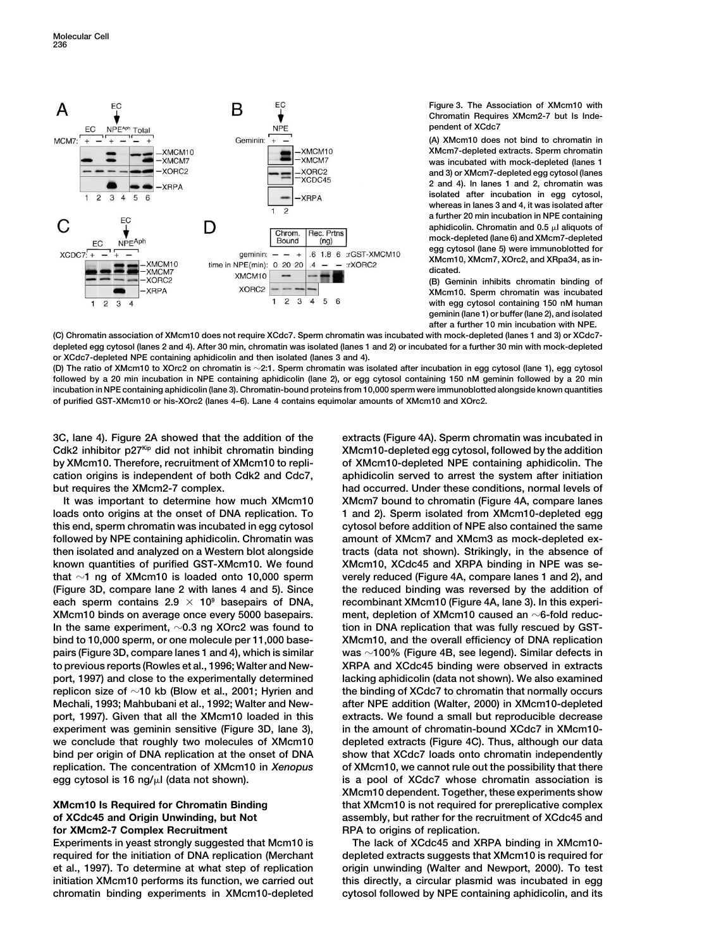

**Figure 3. The Association of XMcm10 with Chromatin Requires XMcm2-7 but Is Independent of XCdc7**

**(A) XMcm10 does not bind to chromatin in XMcm7-depleted extracts. Sperm chromatin was incubated with mock-depleted (lanes 1 and 3) or XMcm7-depleted egg cytosol (lanes 2 and 4). In lanes 1 and 2, chromatin was isolated after incubation in egg cytosol, whereas in lanes 3 and 4, it was isolated after a further 20 min incubation in NPE containing** aphidicolin. Chromatin and 0.5  $\mu$ l aliquots of **mock-depleted (lane 6) and XMcm7-depleted egg cytosol (lane 5) were immunoblotted for XMcm10, XMcm7, XOrc2, and XRpa34, as indicated.**

**(B) Geminin inhibits chromatin binding of XMcm10. Sperm chromatin was incubated with egg cytosol containing 150 nM human geminin (lane 1) or buffer (lane 2), and isolated after a further 10 min incubation with NPE.**

**(C) Chromatin association of XMcm10 does not require XCdc7. Sperm chromatin was incubated with mock-depleted (lanes 1 and 3) or XCdc7 depleted egg cytosol (lanes 2 and 4). After 30 min, chromatin was isolated (lanes 1 and 2) or incubated for a further 30 min with mock-depleted or XCdc7-depleted NPE containing aphidicolin and then isolated (lanes 3 and 4).**

**(D) The ratio of XMcm10 to XOrc2 on chromatin is 2:1. Sperm chromatin was isolated after incubation in egg cytosol (lane 1), egg cytosol followed by a 20 min incubation in NPE containing aphidicolin (lane 2), or egg cytosol containing 150 nM geminin followed by a 20 min incubation in NPE containing aphidicolin (lane 3). Chromatin-bound proteins from 10,000 sperm were immunoblotted alongside known quantities of purified GST-XMcm10 or his-XOrc2 (lanes 4–6). Lane 4 contains equimolar amounts of XMcm10 and XOrc2.**

**3C, lane 4). Figure 2A showed that the addition of the extracts (Figure 4A). Sperm chromatin was incubated in** Cdk2 inhibitor p27<sup>kip</sup> did not inhibit chromatin binding XMcm10-depleted egg cytosol, followed by the addition **by XMcm10. Therefore, recruitment of XMcm10 to repli- of XMcm10-depleted NPE containing aphidicolin. The cation origins is independent of both Cdk2 and Cdc7, aphidicolin served to arrest the system after initiation but requires the XMcm2-7 complex. had occurred. Under these conditions, normal levels of**

loads onto origins at the onset of DNA replication. To 1 and 2). Sperm isolated from XMcm10-depleted egg **this end, sperm chromatin was incubated in egg cytosol cytosol before addition of NPE also contained the same followed by NPE containing aphidicolin. Chromatin was amount of XMcm7 and XMcm3 as mock-depleted exthen isolated and analyzed on a Western blot alongside tracts (data not shown). Strikingly, in the absence of** known quantities of purified GST-XMcm10. We found XMcm10, XCdc45 and XRPA binding in NPE was se**that 1 ng of XMcm10 is loaded onto 10,000 sperm verely reduced (Figure 4A, compare lanes 1 and 2), and (Figure 3D, compare lane 2 with lanes 4 and 5). Since the reduced binding was reversed by the addition of each sperm contains 2.9**  $\times$  10<sup>9</sup> basepairs of DNA, recombinant XMcm10 (Figure 4A, lane 3). In this experi-**XMcm10** binds on average once every 5000 basepairs. Thent, depletion of XMcm10 caused an  $\sim$ 6-fold reduc-**In the same experiment, 0.3 ng XOrc2 was found to tion in DNA replication that was fully rescued by GSTbind to 10,000 sperm, or one molecule per 11,000 base- XMcm10, and the overall efficiency of DNA replication pairs (Figure 3D, compare lanes 1 and 4), which is similar was 100% (Figure 4B, see legend). Similar defects in to previous reports (Rowles et al., 1996; Walter and New- XRPA and XCdc45 binding were observed in extracts port, 1997) and close to the experimentally determined lacking aphidicolin (data not shown). We also examined replicon size of 10 kb (Blow et al., 2001; Hyrien and the binding of XCdc7 to chromatin that normally occurs Mechali, 1993; Mahbubani et al., 1992; Walter and New- after NPE addition (Walter, 2000) in XMcm10-depleted port, 1997). Given that all the XMcm10 loaded in this extracts. We found a small but reproducible decrease experiment was geminin sensitive (Figure 3D, lane 3), in the amount of chromatin-bound XCdc7 in XMcm10 we conclude that roughly two molecules of XMcm10 depleted extracts (Figure 4C). Thus, although our data bind per origin of DNA replication at the onset of DNA show that XCdc7 loads onto chromatin independently replication. The concentration of XMcm10 in** *Xenopus* **of XMcm10, we cannot rule out the possibility that there egg cytosol is 16 ng/l (data not shown). is a pool of XCdc7 whose chromatin association is**

# **for XMcm2-7 Complex Recruitment RPA to origins of replication.**

**Experiments in yeast strongly suggested that Mcm10 is The lack of XCdc45 and XRPA binding in XMcm10 required for the initiation of DNA replication (Merchant depleted extracts suggests that XMcm10 is required for et al., 1997). To determine at what step of replication origin unwinding (Walter and Newport, 2000). To test initiation XMcm10 performs its function, we carried out this directly, a circular plasmid was incubated in egg chromatin binding experiments in XMcm10-depleted cytosol followed by NPE containing aphidicolin, and its**

**It was important to determine how much XMcm10 XMcm7 bound to chromatin (Figure 4A, compare lanes XMcm10 dependent. Together, these experiments show XMcm10 Is Required for Chromatin Binding that XMcm10 is not required for prereplicative complex of XCdc45 and Origin Unwinding, but Not assembly, but rather for the recruitment of XCdc45 and**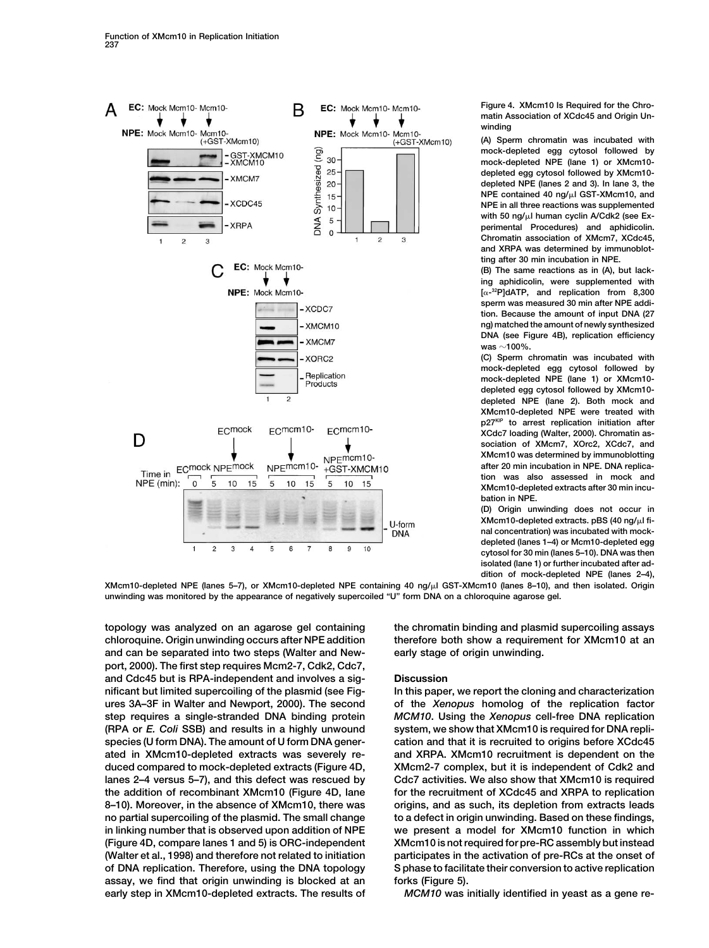

**Figure 4. XMcm10 Is Required for the Chromatin Association of XCdc45 and Origin Unwinding**

**(A) Sperm chromatin was incubated with mock-depleted egg cytosol followed by mock-depleted NPE (lane 1) or XMcm10 depleted egg cytosol followed by XMcm10 depleted NPE (lanes 2 and 3). In lane 3, the NPE contained 40 ng/l GST-XMcm10, and NPE in all three reactions was supplemented with 50 ng/l human cyclin A/Cdk2 (see Experimental Procedures) and aphidicolin. Chromatin association of XMcm7, XCdc45, and XRPA was determined by immunoblotting after 30 min incubation in NPE.**

**(B) The same reactions as in (A), but lacking aphidicolin, were supplemented with [-32P]dATP, and replication from 8,300 sperm was measured 30 min after NPE addition. Because the amount of input DNA (27 ng) matched the amount of newly synthesized DNA (see Figure 4B), replication efficiency was 100%.**

**(C) Sperm chromatin was incubated with mock-depleted egg cytosol followed by mock-depleted NPE (lane 1) or XMcm10 depleted egg cytosol followed by XMcm10 depleted NPE (lane 2). Both mock and XMcm10-depleted NPE were treated with p27KIP to arrest replication initiation after XCdc7 loading (Walter, 2000). Chromatin association of XMcm7, XOrc2, XCdc7, and XMcm10 was determined by immunoblotting after 20 min incubation in NPE. DNA replication was also assessed in mock and XMcm10-depleted extracts after 30 min incubation in NPE.**

**(D) Origin unwinding does not occur in XMcm10-depleted extracts. pBS (40 ng/l final concentration) was incubated with mockdepleted (lanes 1–4) or Mcm10-depleted egg cytosol for 30 min (lanes 5–10). DNA was then isolated (lane 1) or further incubated after addition of mock-depleted NPE (lanes 2–4),**

**XMcm10-depleted NPE (lanes 5–7), or XMcm10-depleted NPE containing 40 ng/l GST-XMcm10 (lanes 8–10), and then isolated. Origin unwinding was monitored by the appearance of negatively supercoiled "U" form DNA on a chloroquine agarose gel.**

**topology was analyzed on an agarose gel containing the chromatin binding and plasmid supercoiling assays chloroquine. Origin unwinding occurs after NPE addition therefore both show a requirement for XMcm10 at an and can be separated into two steps (Walter and New- early stage of origin unwinding. port, 2000). The first step requires Mcm2-7, Cdk2, Cdc7, and Cdc45 but is RPA-independent and involves a sig- Discussion nificant but limited supercoiling of the plasmid (see Fig- In this paper, we report the cloning and characterization ures 3A–3F in Walter and Newport, 2000). The second of the** *Xenopus* **homolog of the replication factor step requires a single-stranded DNA binding protein** *MCM10***. Using the** *Xenopus* **cell-free DNA replication (RPA or** *E. Coli* **SSB) and results in a highly unwound system, we show that XMcm10 is required for DNA replispecies (U form DNA). The amount of U form DNA gener- cation and that it is recruited to origins before XCdc45 ated in XMcm10-depleted extracts was severely re- and XRPA. XMcm10 recruitment is dependent on the duced compared to mock-depleted extracts (Figure 4D, XMcm2-7 complex, but it is independent of Cdk2 and lanes 2–4 versus 5–7), and this defect was rescued by Cdc7 activities. We also show that XMcm10 is required the addition of recombinant XMcm10 (Figure 4D, lane for the recruitment of XCdc45 and XRPA to replication 8–10). Moreover, in the absence of XMcm10, there was origins, and as such, its depletion from extracts leads no partial supercoiling of the plasmid. The small change to a defect in origin unwinding. Based on these findings, in linking number that is observed upon addition of NPE we present a model for XMcm10 function in which (Figure 4D, compare lanes 1 and 5) is ORC-independent XMcm10 is not required for pre-RC assembly but instead (Walter et al., 1998) and therefore not related to initiation participates in the activation of pre-RCs at the onset of of DNA replication. Therefore, using the DNA topology S phase to facilitate their conversion to active replication assay, we find that origin unwinding is blocked at an forks (Figure 5). early step in XMcm10-depleted extracts. The results of** *MCM10* **was initially identified in yeast as a gene re-**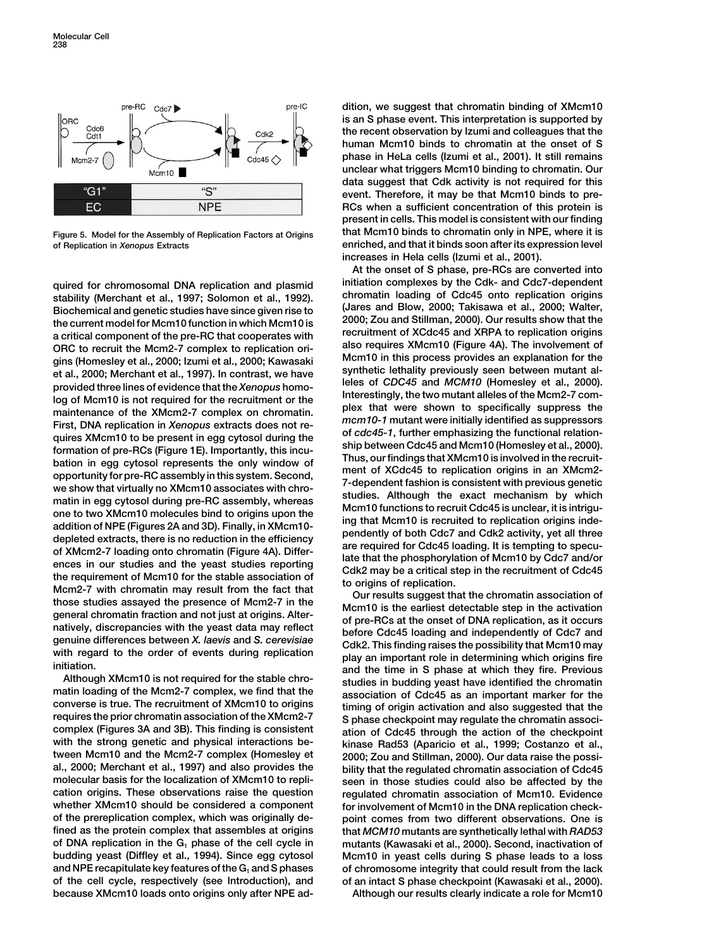

**of Replication in** *Xenopus* **Extracts enriched, and that it binds soon after its expression level**

a critical component of the pre-RC that cooperates with<br>ORC to recruit the Mcm2-7 complex to replication ori-<br>gins (Homesley et al., 2000; Izumi et al., 2000; Kawasaki<br>et al., 2000; Merchant et al., 1997). In contrast, we provided three lines of evidence that the Xenopus homo-<br>log of Mcm10 is not required for the recruitment or the<br>maintenance of the XMcm2-7 complex on chromatin.<br>First, DNA replication in Xenopus extracts does not re-<br>rist, quires XMcm10 to be present in egg cytosol during the  $\frac{1}{2}$  of  $\frac{1}{2}$  cofted as a memphasizing the functional relation-<br>(uring the state and Mcm10 (Homesley et al., 2000),<br>bation in egg cytosol depresents the only

**with the strong genetic and physical interactions be- kinase Rad53 (Aparicio et al., 1999; Costanzo et al., tween Mcm10 and the Mcm2-7 complex (Homesley et 2000; Zou and Stillman, 2000). Our data raise the possial., 2000; Merchant et al., 1997) and also provides the bility that the regulated chromatin association of Cdc45 molecular basis for the localization of XMcm10 to repli- seen in those studies could also be affected by the cation origins. These observations raise the question regulated chromatin association of Mcm10. Evidence of the prereplication complex, which was originally de- point comes from two different observations. One is fined as the protein complex that assembles at origins that** *MCM10* **mutants are synthetically lethal with** *RAD53* **budding yeast (Diffley et al., 1994). Since egg cytosol Mcm10 in yeast cells during S phase leads to a loss and NPE recapitulate key features of the G1 and S phases of chromosome integrity that could result from the lack of the cell cycle, respectively (see Introduction), and of an intact S phase checkpoint (Kawasaki et al., 2000). because XMcm10 loads onto origins only after NPE ad- Although our results clearly indicate a role for Mcm10**

**dition, we suggest that chromatin binding of XMcm10 is an S phase event. This interpretation is supported by the recent observation by Izumi and colleagues that the human Mcm10 binds to chromatin at the onset of S phase in HeLa cells (Izumi et al., 2001). It still remains unclear what triggers Mcm10 binding to chromatin. Our data suggest that Cdk activity is not required for this event. Therefore, it may be that Mcm10 binds to pre-RCs when a sufficient concentration of this protein is present in cells. This model is consistent with our finding Figure 5. Model for the Assembly of Replication Factors at Origins that Mcm10 binds to chromatin only in NPE, where it is increases in Hela cells (Izumi et al., 2001).**

**At the onset of S phase, pre-RCs are converted into** quired for chromosomal DNA replication and plasmid<br>stability (Merchant et al., 1997; Solomon et al., 1992).<br>Biochemical and genetic studies have since given rise to<br>the current model for Mcm10 function in which Mcm10 is<br>th

> for involvement of Mcm10 in the DNA replication check**of DNA replication in the G1 phase of the cell cycle in mutants (Kawasaki et al., 2000). Second, inactivation of**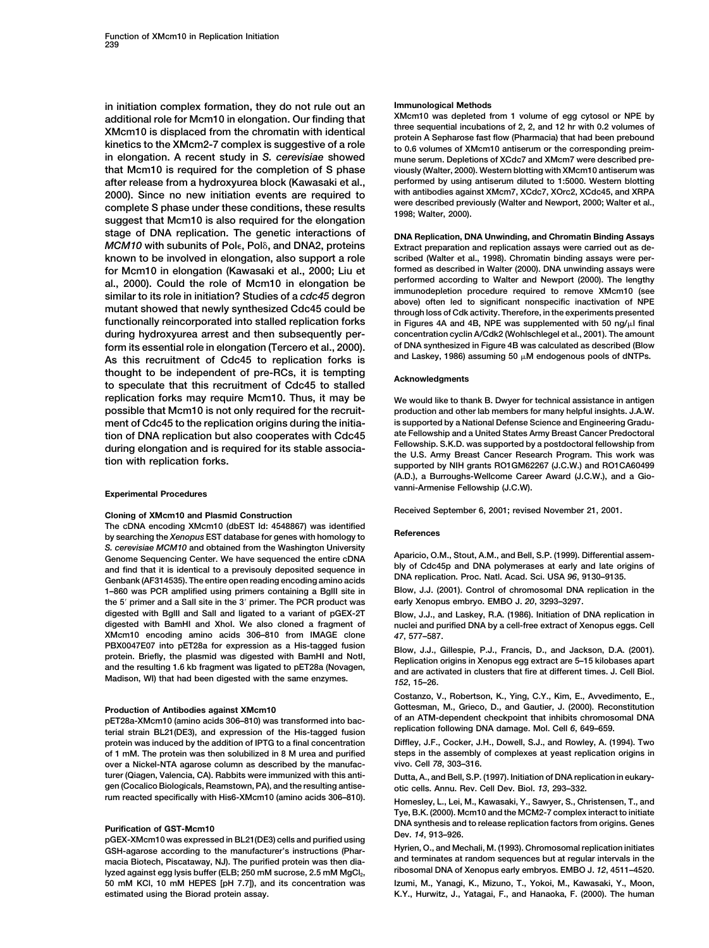**in initiation complex formation, they do not rule out an Immunological Methods** additional role for Mcm10 in elongation. Our finding that<br>
XMcm10 was depieted from 1 volume of egg cytosol or NPE by<br>
XMcm10 is displaced from the chromatin with identical<br>  $\frac{1}{2}$  and 12 hr with 0.2 volumes of<br>
kinetic **in elongation. A recent study in** *S. cerevisiae* **showed mune serum. Depletions of XCdc7 and XMcm7 were described prethat Mcm10 is required for the completion of S phase viously (Walter, 2000). Western blotting with XMcm10 antiserum was after release from a hydroxyurea block (Kawasaki et al., performed by using antiserum diluted to 1:5000. Western blotting** 2000). Since no new initiation events are required to<br>complete S phase under these conditions, these results<br>suggest that Mcm10 is also required for the elongation<br> $^{1998}$ ; Walter, 2000).<br> $^{1998}$ ; Walter, 2000). **stage of DNA replication. The genetic interactions of DNA Replication, DNA Unwinding, and Chromatin Binding Assays** *MCM10* with subunits of Pole, Pol<sub>0</sub>, and DNA2, proteins **known to be involved in elongation, also support a role scribed (Walter et al., 1998). Chromatin binding assays were performed as described in Walter (2000). DNA unwinding assays were for Mcm10 in elongation (Kawasaki et al., 2000; Liu et** al., 2000). Could the role of Mcm10 in elongation be<br>similar to its role in initiation? Studies of a cdc45 degron<br>munodepletion procedure required to remove XMcm10 (see<br>mutant showed that newly synthesized Cdc45 could be<br>t **functionally reincorporated into stalled replication forks in Figures 4A and 4B, NPE was supplemented with 50 ng/l final during hydroxyurea arrest and then subsequently per- concentration cyclin A/Cdk2 (Wohlschlegel et al., 2001). The amount form its essential role in elongation (Tercero et al., 2000).** of DNA synthesized in Figure 4B was calculated as described (Blow<br>As this recruitment of Cde45 to replication forks is and Laskey, 1986) assuming 50 µM endoge As this recruitment of Cdc45 to replication forks is **thought to be independent of pre-RCs, it is tempting Acknowledgments to speculate that this recruitment of Cdc45 to stalled replication forks may require Mcm10. Thus, it may be We would like to thank B. Dwyer for technical assistance in antigen possible that Mcm10 is not only required for the recruit- production and other lab members for many helpful insights. J.A.W. ment of Cdc45 to the replication origins during the initia- is supported by a National Defense Science and Engineering Gradu-**

The cDNA encoding XMcm10 (dbEST Id: 4548867) was identified<br> **by searching the** *Xenopus* **EST database for genes with homology to**<br> **References** S. cerevisiae MCM10 and obtained from the Washington University<br>Genome Sequencing Center. We have sequenced the entire cDNA Aparicio, O.M., Stout, A.M., and Bell, S.P. (1999). Differential assem-<br>and find that it is identi **1–860 was PCR amplified using primers containing a BglII site in Blow, J.J. (2001). Control of chromosomal DNA replication in the the 5<sup>'</sup> primer and a Sall site in the 3' primer. The PCR product was digested with BglII and SalI and ligated to a variant of pGEX-2T Blow, J.J., and Laskey, R.A. (1986). Initiation of DNA replication in XMcm10 encoding amino acids 306–810 from IMAGE clone** *47***, 577–587.** PBX004/E07 Into pE128a for expression as a HIS-tagged fusion<br>protein. Briefly, the plasmid was digested with BamHI and Notl,<br>and the resulting 1.6 kb fragment was ligated to pET28a (Novagen,<br>and are activated in clusters t **Madison, WI) that had been digested with the same enzymes.** *<sup>152</sup>***, 15–26.**

**protein was induced by the addition of IPTG to a final concentration Diffley, J.F., Cocker, J.H., Dowell, S.J., and Rowley, A. (1994). Two of 1 mM. The protein was then solubilized in 8 M urea and purified steps in the assembly of complexes at yeast replication origins in over a Nickel-NTA agarose column as described by the manufac- vivo. Cell** *78***, 303–316. turer (Qiagen, Valencia, CA). Rabbits were immunized with this anti- Dutta, A., and Bell, S.P. (1997). Initiation of DNA replication in eukary**gen (Cocalico Biologicals, Reamstown, PA), and the resulting antise-<br>
rum reacted specifically with His6-XMcm10 (amino acids 306–810).

macia Biotech, Piscataway, NJ). The purified protein was then dia**ribosomal DNA of Xenopus early embryos. EMBO J.** *12***, 4511–4520. lyzed against egg lysis buffer (ELB; 250 mM sucrose, 2.5 mM MgCl2, 50 mM KCl, 10 mM HEPES [pH 7.7]), and its concentration was Izumi, M., Yanagi, K., Mizuno, T., Yokoi, M., Kawasaki, Y., Moon,**

Extract preparation and replication assays were carried out as de-

tion of DNA replication but also cooperates with Cdc45 are Fellowship and a United States Army Breast Cancer Predoctoral<br>during elongation and is required for its stable associa-<br>tion with replication forks.<br>supported by N **(A.D.), a Burroughs-Wellcome Career Award (J.C.W.), and a Giovanni-Armenise Fellowship (J.C.W). Experimental Procedures**

**Received September 6, 2001; revised November 21, 2001. Cloning of XMcm10 and Plasmid Construction**

nuclei and purified DNA by a cell-free extract of Xenopus eggs. Cell

**Costanzo, V., Robertson, K., Ying, C.Y., Kim, E., Avvedimento, E.,** Production of Antibodies against XMcm10<br>
pET28a-XMcm10 (amino acids 306–810) was transformed into bac-<br>
of an ATM-dependent checkpoint that inhibits chromosomal DNA<br>
terial strain BL21(DE3), and expression of the His-tagge

Homesley, L., Lei, M., Kawasaki, Y., Sawyer, S., Christensen, T., and **Tye, B.K. (2000). Mcm10 and the MCM2-7 complex interact to initiate DNA synthesis and to release replication factors from origins. Genes**<br> **Purification of GST-Mcm10** was expressed in BL21(DE3) cells and purified using Dev. 14, 913–926.<br> **PH** expressed according to the manufacturer's inst

**GSH-agarose according to the manufacturer's instructions (Phar- Hyrien, O., and Mechali, M. (1993). Chromosomal replication initiates**

**estimated using the Biorad protein assay. K.Y., Hurwitz, J., Yatagai, F., and Hanaoka, F. (2000). The human**